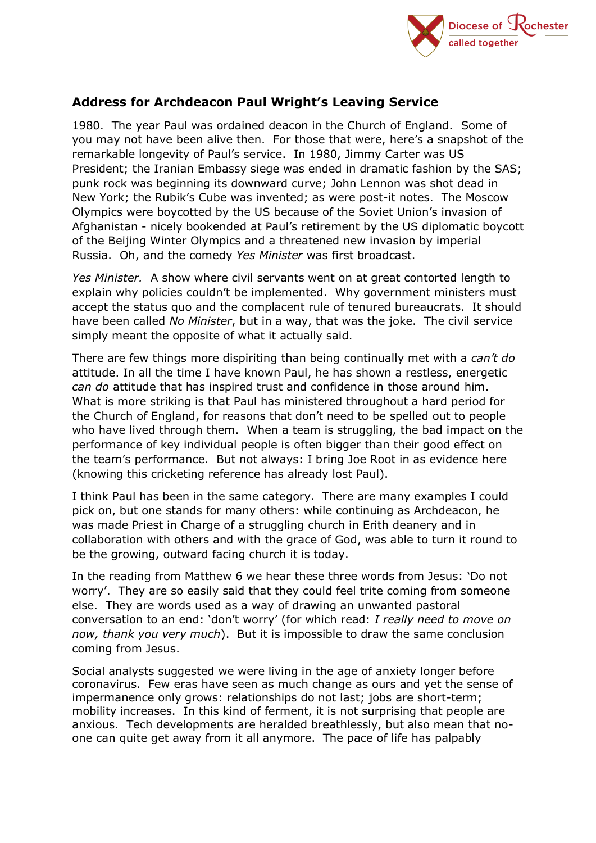

## **Address for Archdeacon Paul Wright's Leaving Service**

1980. The year Paul was ordained deacon in the Church of England. Some of you may not have been alive then. For those that were, here's a snapshot of the remarkable longevity of Paul's service. In 1980, Jimmy Carter was US President; the Iranian Embassy siege was ended in dramatic fashion by the SAS; punk rock was beginning its downward curve; John Lennon was shot dead in New York; the Rubik's Cube was invented; as were post-it notes. The Moscow Olympics were boycotted by the US because of the Soviet Union's invasion of Afghanistan - nicely bookended at Paul's retirement by the US diplomatic boycott of the Beijing Winter Olympics and a threatened new invasion by imperial Russia. Oh, and the comedy *Yes Minister* was first broadcast.

*Yes Minister.* A show where civil servants went on at great contorted length to explain why policies couldn't be implemented. Why government ministers must accept the status quo and the complacent rule of tenured bureaucrats. It should have been called *No Minister*, but in a way, that was the joke. The civil service simply meant the opposite of what it actually said.

There are few things more dispiriting than being continually met with a *can't do* attitude. In all the time I have known Paul, he has shown a restless, energetic *can do* attitude that has inspired trust and confidence in those around him. What is more striking is that Paul has ministered throughout a hard period for the Church of England, for reasons that don't need to be spelled out to people who have lived through them. When a team is struggling, the bad impact on the performance of key individual people is often bigger than their good effect on the team's performance. But not always: I bring Joe Root in as evidence here (knowing this cricketing reference has already lost Paul).

I think Paul has been in the same category. There are many examples I could pick on, but one stands for many others: while continuing as Archdeacon, he was made Priest in Charge of a struggling church in Erith deanery and in collaboration with others and with the grace of God, was able to turn it round to be the growing, outward facing church it is today.

In the reading from Matthew 6 we hear these three words from Jesus: 'Do not worry'. They are so easily said that they could feel trite coming from someone else. They are words used as a way of drawing an unwanted pastoral conversation to an end: 'don't worry' (for which read: *I really need to move on now, thank you very much*). But it is impossible to draw the same conclusion coming from Jesus.

Social analysts suggested we were living in the age of anxiety longer before coronavirus. Few eras have seen as much change as ours and yet the sense of impermanence only grows: relationships do not last; jobs are short-term; mobility increases. In this kind of ferment, it is not surprising that people are anxious. Tech developments are heralded breathlessly, but also mean that noone can quite get away from it all anymore. The pace of life has palpably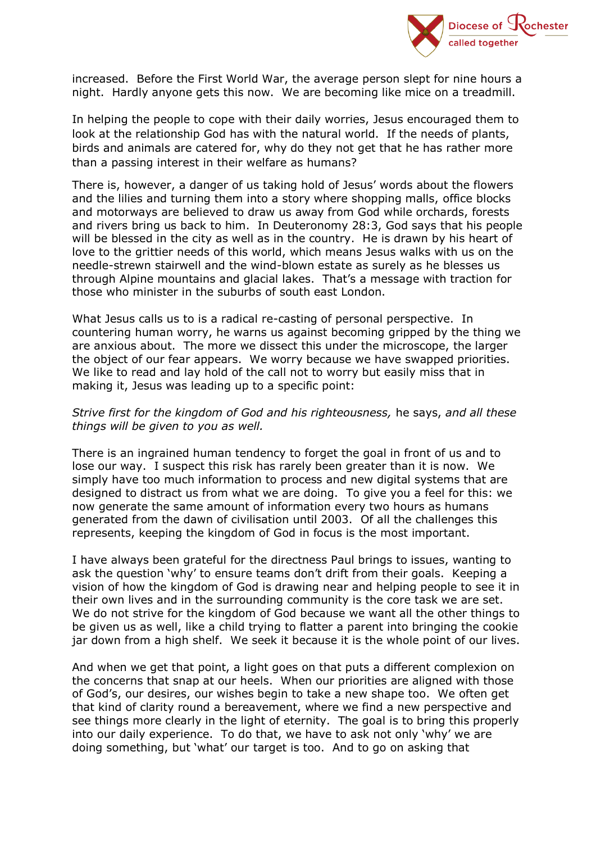

increased. Before the First World War, the average person slept for nine hours a night. Hardly anyone gets this now. We are becoming like mice on a treadmill.

In helping the people to cope with their daily worries, Jesus encouraged them to look at the relationship God has with the natural world. If the needs of plants, birds and animals are catered for, why do they not get that he has rather more than a passing interest in their welfare as humans?

There is, however, a danger of us taking hold of Jesus' words about the flowers and the lilies and turning them into a story where shopping malls, office blocks and motorways are believed to draw us away from God while orchards, forests and rivers bring us back to him. In Deuteronomy 28:3, God says that his people will be blessed in the city as well as in the country. He is drawn by his heart of love to the grittier needs of this world, which means Jesus walks with us on the needle-strewn stairwell and the wind-blown estate as surely as he blesses us through Alpine mountains and glacial lakes. That's a message with traction for those who minister in the suburbs of south east London.

What Jesus calls us to is a radical re-casting of personal perspective. In countering human worry, he warns us against becoming gripped by the thing we are anxious about. The more we dissect this under the microscope, the larger the object of our fear appears. We worry because we have swapped priorities. We like to read and lay hold of the call not to worry but easily miss that in making it, Jesus was leading up to a specific point:

## *Strive first for the kingdom of God and his righteousness,* he says, *and all these things will be given to you as well.*

There is an ingrained human tendency to forget the goal in front of us and to lose our way. I suspect this risk has rarely been greater than it is now. We simply have too much information to process and new digital systems that are designed to distract us from what we are doing. To give you a feel for this: we now generate the same amount of information every two hours as humans generated from the dawn of civilisation until 2003. Of all the challenges this represents, keeping the kingdom of God in focus is the most important.

I have always been grateful for the directness Paul brings to issues, wanting to ask the question 'why' to ensure teams don't drift from their goals. Keeping a vision of how the kingdom of God is drawing near and helping people to see it in their own lives and in the surrounding community is the core task we are set. We do not strive for the kingdom of God because we want all the other things to be given us as well, like a child trying to flatter a parent into bringing the cookie jar down from a high shelf. We seek it because it is the whole point of our lives.

And when we get that point, a light goes on that puts a different complexion on the concerns that snap at our heels. When our priorities are aligned with those of God's, our desires, our wishes begin to take a new shape too. We often get that kind of clarity round a bereavement, where we find a new perspective and see things more clearly in the light of eternity. The goal is to bring this properly into our daily experience. To do that, we have to ask not only 'why' we are doing something, but 'what' our target is too. And to go on asking that